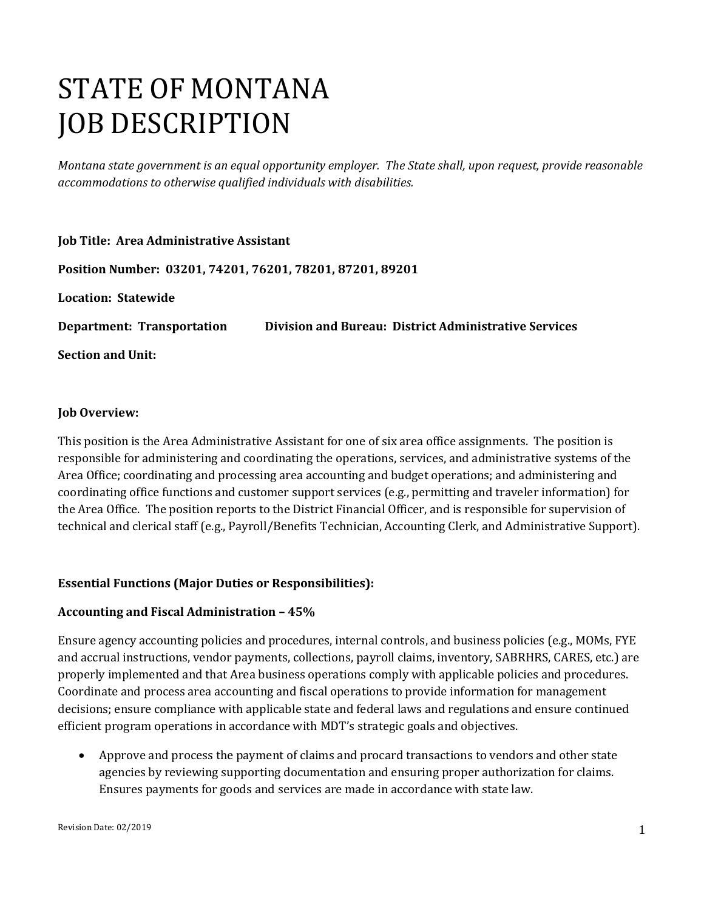# STATE OF MONTANA JOB DESCRIPTION

*Montana state government is an equal opportunity employer. The State shall, upon request, provide reasonable accommodations to otherwise qualified individuals with disabilities.*

| Job Title: Area Administrative Assistant                  |                                                       |
|-----------------------------------------------------------|-------------------------------------------------------|
| Position Number: 03201, 74201, 76201, 78201, 87201, 89201 |                                                       |
| <b>Location: Statewide</b>                                |                                                       |
| <b>Department: Transportation</b>                         | Division and Bureau: District Administrative Services |
| <b>Section and Unit:</b>                                  |                                                       |

#### **Job Overview:**

This position is the Area Administrative Assistant for one of six area office assignments. The position is responsible for administering and coordinating the operations, services, and administrative systems of the Area Office; coordinating and processing area accounting and budget operations; and administering and coordinating office functions and customer support services (e.g., permitting and traveler information) for the Area Office. The position reports to the District Financial Officer, and is responsible for supervision of technical and clerical staff (e.g., Payroll/Benefits Technician, Accounting Clerk, and Administrative Support).

## **Essential Functions (Major Duties or Responsibilities):**

#### **Accounting and Fiscal Administration – 45%**

Ensure agency accounting policies and procedures, internal controls, and business policies (e.g., MOMs, FYE and accrual instructions, vendor payments, collections, payroll claims, inventory, SABRHRS, CARES, etc.) are properly implemented and that Area business operations comply with applicable policies and procedures. Coordinate and process area accounting and fiscal operations to provide information for management decisions; ensure compliance with applicable state and federal laws and regulations and ensure continued efficient program operations in accordance with MDT's strategic goals and objectives.

• Approve and process the payment of claims and procard transactions to vendors and other state agencies by reviewing supporting documentation and ensuring proper authorization for claims. Ensures payments for goods and services are made in accordance with state law.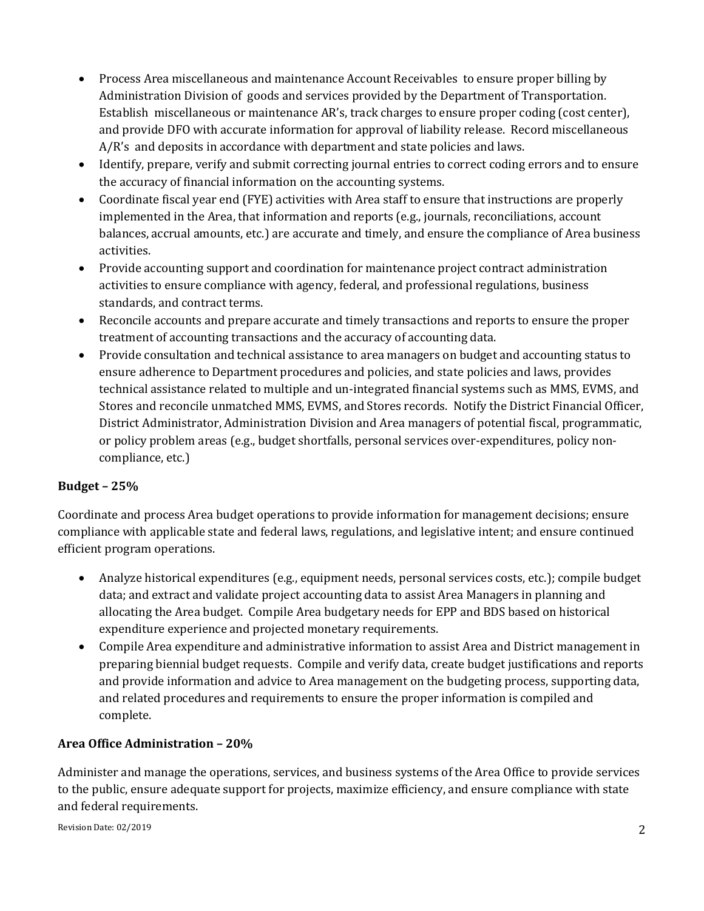- Process Area miscellaneous and maintenance Account Receivables to ensure proper billing by Administration Division of goods and services provided by the Department of Transportation. Establish miscellaneous or maintenance AR's, track charges to ensure proper coding (cost center), and provide DFO with accurate information for approval of liability release. Record miscellaneous A/R's and deposits in accordance with department and state policies and laws.
- Identify, prepare, verify and submit correcting journal entries to correct coding errors and to ensure the accuracy of financial information on the accounting systems.
- Coordinate fiscal year end (FYE) activities with Area staff to ensure that instructions are properly implemented in the Area, that information and reports (e.g., journals, reconciliations, account balances, accrual amounts, etc.) are accurate and timely, and ensure the compliance of Area business activities.
- Provide accounting support and coordination for maintenance project contract administration activities to ensure compliance with agency, federal, and professional regulations, business standards, and contract terms.
- Reconcile accounts and prepare accurate and timely transactions and reports to ensure the proper treatment of accounting transactions and the accuracy of accounting data.
- Provide consultation and technical assistance to area managers on budget and accounting status to ensure adherence to Department procedures and policies, and state policies and laws, provides technical assistance related to multiple and un-integrated financial systems such as MMS, EVMS, and Stores and reconcile unmatched MMS, EVMS, and Stores records. Notify the District Financial Officer, District Administrator, Administration Division and Area managers of potential fiscal, programmatic, or policy problem areas (e.g., budget shortfalls, personal services over-expenditures, policy noncompliance, etc.)

# **Budget – 25%**

Coordinate and process Area budget operations to provide information for management decisions; ensure compliance with applicable state and federal laws, regulations, and legislative intent; and ensure continued efficient program operations.

- Analyze historical expenditures (e.g., equipment needs, personal services costs, etc.); compile budget data; and extract and validate project accounting data to assist Area Managers in planning and allocating the Area budget. Compile Area budgetary needs for EPP and BDS based on historical expenditure experience and projected monetary requirements.
- Compile Area expenditure and administrative information to assist Area and District management in preparing biennial budget requests. Compile and verify data, create budget justifications and reports and provide information and advice to Area management on the budgeting process, supporting data, and related procedures and requirements to ensure the proper information is compiled and complete.

# **Area Office Administration – 20%**

Administer and manage the operations, services, and business systems of the Area Office to provide services to the public, ensure adequate support for projects, maximize efficiency, and ensure compliance with state and federal requirements.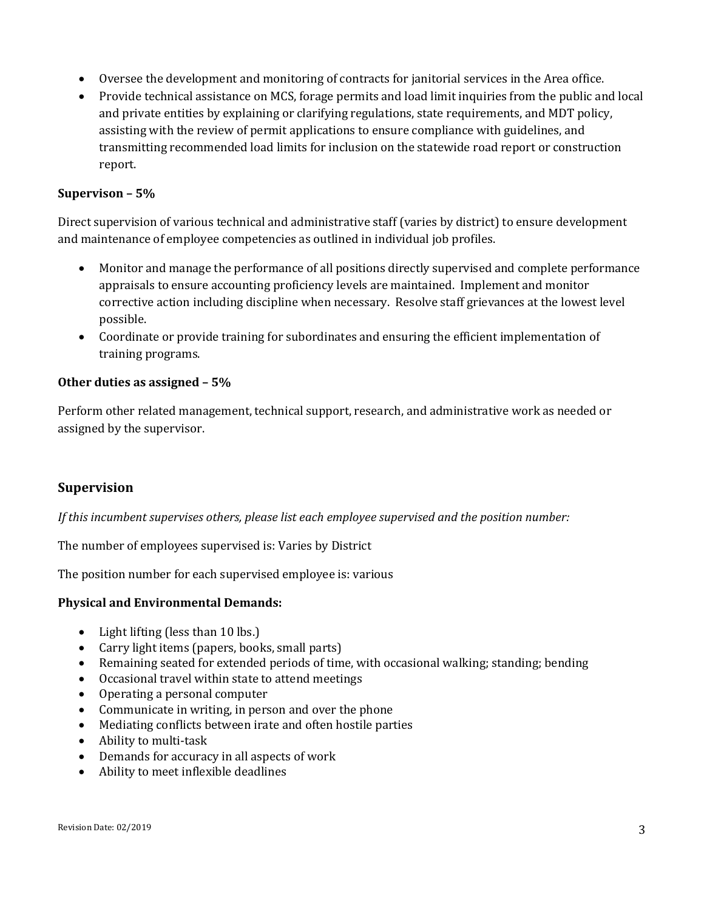- Oversee the development and monitoring of contracts for janitorial services in the Area office.
- Provide technical assistance on MCS, forage permits and load limit inquiries from the public and local and private entities by explaining or clarifying regulations, state requirements, and MDT policy, assisting with the review of permit applications to ensure compliance with guidelines, and transmitting recommended load limits for inclusion on the statewide road report or construction report.

## **Supervison – 5%**

Direct supervision of various technical and administrative staff (varies by district) to ensure development and maintenance of employee competencies as outlined in individual job profiles.

- Monitor and manage the performance of all positions directly supervised and complete performance appraisals to ensure accounting proficiency levels are maintained. Implement and monitor corrective action including discipline when necessary. Resolve staff grievances at the lowest level possible.
- Coordinate or provide training for subordinates and ensuring the efficient implementation of training programs.

### **Other duties as assigned – 5%**

Perform other related management, technical support, research, and administrative work as needed or assigned by the supervisor.

## **Supervision**

*If this incumbent supervises others, please list each employee supervised and the position number:*

The number of employees supervised is: Varies by District

The position number for each supervised employee is: various

#### **Physical and Environmental Demands:**

- Light lifting (less than 10 lbs.)
- Carry light items (papers, books, small parts)
- Remaining seated for extended periods of time, with occasional walking; standing; bending
- Occasional travel within state to attend meetings
- Operating a personal computer
- Communicate in writing, in person and over the phone
- Mediating conflicts between irate and often hostile parties
- Ability to multi-task
- Demands for accuracy in all aspects of work
- Ability to meet inflexible deadlines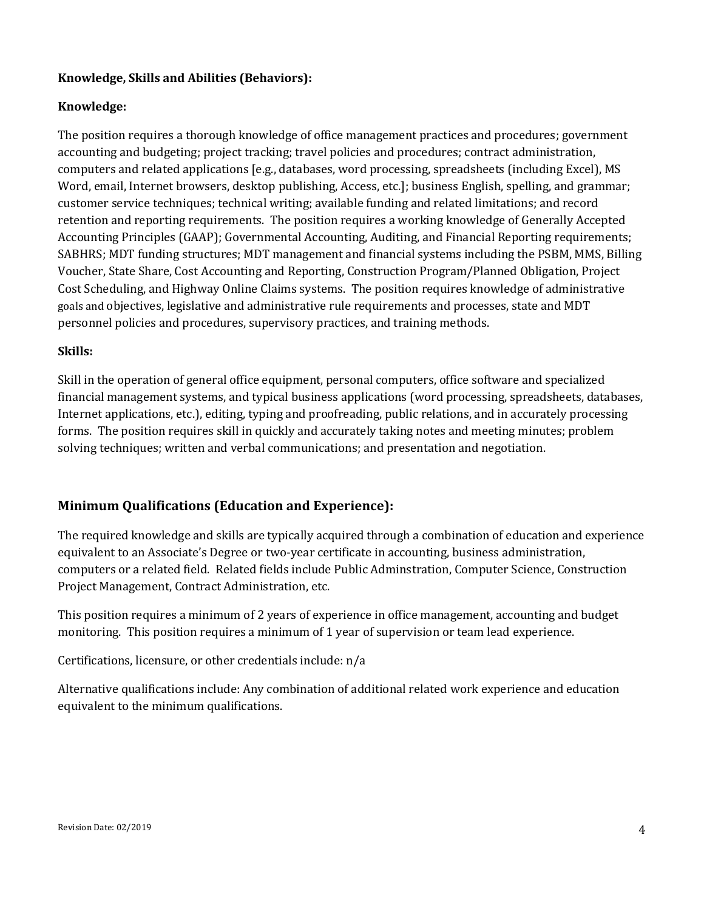## **Knowledge, Skills and Abilities (Behaviors):**

## **Knowledge:**

The position requires a thorough knowledge of office management practices and procedures; government accounting and budgeting; project tracking; travel policies and procedures; contract administration, computers and related applications [e.g., databases, word processing, spreadsheets (including Excel), MS Word, email, Internet browsers, desktop publishing, Access, etc.]; business English, spelling, and grammar; customer service techniques; technical writing; available funding and related limitations; and record retention and reporting requirements. The position requires a working knowledge of Generally Accepted Accounting Principles (GAAP); Governmental Accounting, Auditing, and Financial Reporting requirements; SABHRS; MDT funding structures; MDT management and financial systems including the PSBM, MMS, Billing Voucher, State Share, Cost Accounting and Reporting, Construction Program/Planned Obligation, Project Cost Scheduling, and Highway Online Claims systems. The position requires knowledge of administrative goals and objectives, legislative and administrative rule requirements and processes, state and MDT personnel policies and procedures, supervisory practices, and training methods.

### **Skills:**

Skill in the operation of general office equipment, personal computers, office software and specialized financial management systems, and typical business applications (word processing, spreadsheets, databases, Internet applications, etc.), editing, typing and proofreading, public relations, and in accurately processing forms. The position requires skill in quickly and accurately taking notes and meeting minutes; problem solving techniques; written and verbal communications; and presentation and negotiation.

# **Minimum Qualifications (Education and Experience):**

The required knowledge and skills are typically acquired through a combination of education and experience equivalent to an Associate's Degree or two-year certificate in accounting, business administration, computers or a related field. Related fields include Public Adminstration, Computer Science, Construction Project Management, Contract Administration, etc.

This position requires a minimum of 2 years of experience in office management, accounting and budget monitoring. This position requires a minimum of 1 year of supervision or team lead experience.

Certifications, licensure, or other credentials include: n/a

Alternative qualifications include: Any combination of additional related work experience and education equivalent to the minimum qualifications.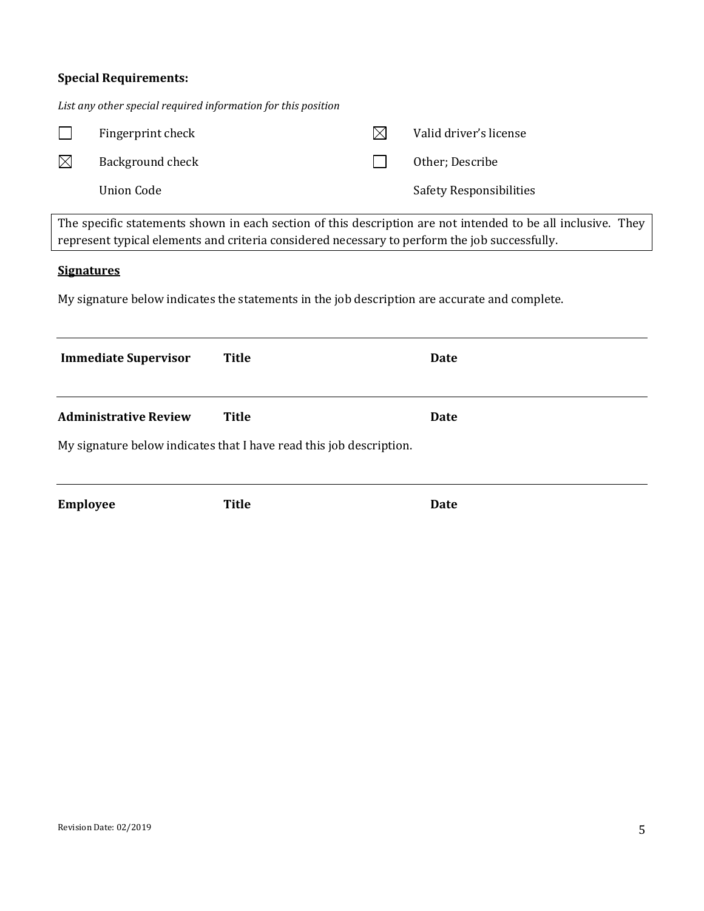# **Special Requirements:**

*List any other special required information for this position*

|                                                                                                                                                                                                               | Fingerprint check            |                                                                     | $\boxtimes$ | Valid driver's license  |  |
|---------------------------------------------------------------------------------------------------------------------------------------------------------------------------------------------------------------|------------------------------|---------------------------------------------------------------------|-------------|-------------------------|--|
| $\boxtimes$                                                                                                                                                                                                   | Background check             |                                                                     |             | Other; Describe         |  |
|                                                                                                                                                                                                               | <b>Union Code</b>            |                                                                     |             | Safety Responsibilities |  |
| The specific statements shown in each section of this description are not intended to be all inclusive. They<br>represent typical elements and criteria considered necessary to perform the job successfully. |                              |                                                                     |             |                         |  |
| <b>Signatures</b>                                                                                                                                                                                             |                              |                                                                     |             |                         |  |
| My signature below indicates the statements in the job description are accurate and complete.                                                                                                                 |                              |                                                                     |             |                         |  |
|                                                                                                                                                                                                               |                              |                                                                     |             |                         |  |
|                                                                                                                                                                                                               | <b>Immediate Supervisor</b>  | <b>Title</b>                                                        |             | <b>Date</b>             |  |
|                                                                                                                                                                                                               | <b>Administrative Review</b> | <b>Title</b>                                                        |             | <b>Date</b>             |  |
|                                                                                                                                                                                                               |                              | My signature below indicates that I have read this job description. |             |                         |  |